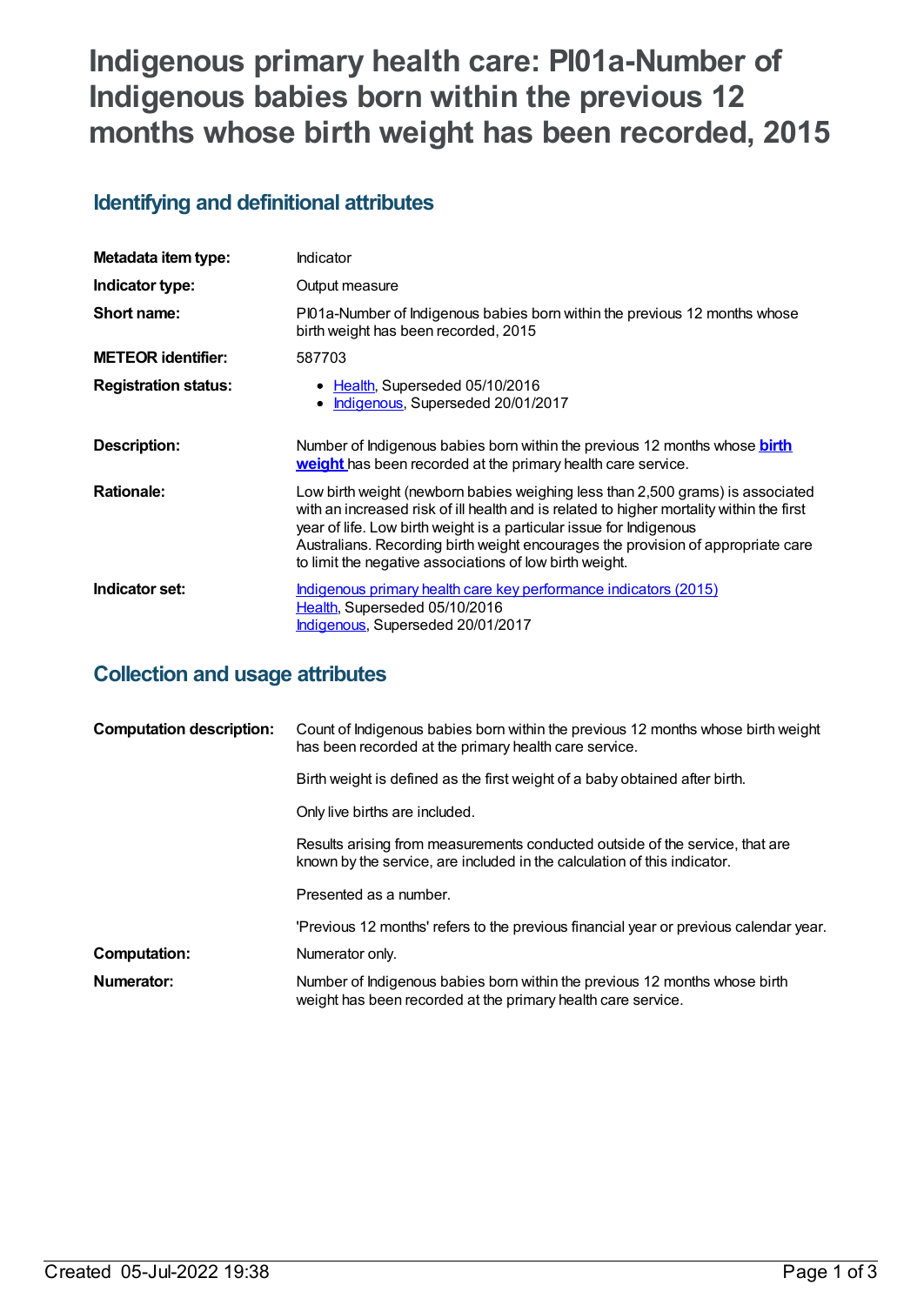# **Indigenous primary health care: PI01a-Number of Indigenous babies born within the previous 12 months whose birth weight has been recorded, 2015**

## **Identifying and definitional attributes**

| Metadata item type:         | Indicator                                                                                                                                                                                                                                                                                                                                                                                        |
|-----------------------------|--------------------------------------------------------------------------------------------------------------------------------------------------------------------------------------------------------------------------------------------------------------------------------------------------------------------------------------------------------------------------------------------------|
| Indicator type:             | Output measure                                                                                                                                                                                                                                                                                                                                                                                   |
| Short name:                 | PI01a-Number of Indigenous babies born within the previous 12 months whose<br>birth weight has been recorded, 2015                                                                                                                                                                                                                                                                               |
| <b>METEOR identifier:</b>   | 587703                                                                                                                                                                                                                                                                                                                                                                                           |
| <b>Registration status:</b> | • Health, Superseded 05/10/2016<br>Indigenous, Superseded 20/01/2017<br>$\bullet$                                                                                                                                                                                                                                                                                                                |
| Description:                | Number of Indigenous babies born within the previous 12 months whose <b>birth</b><br>weight has been recorded at the primary health care service.                                                                                                                                                                                                                                                |
| <b>Rationale:</b>           | Low birth weight (newborn babies weighing less than 2,500 grams) is associated<br>with an increased risk of ill health and is related to higher mortality within the first<br>year of life. Low birth weight is a particular issue for Indigenous<br>Australians. Recording birth weight encourages the provision of appropriate care<br>to limit the negative associations of low birth weight. |
| Indicator set:              | Indigenous primary health care key performance indicators (2015)<br>Health, Superseded 05/10/2016<br>Indigenous, Superseded 20/01/2017                                                                                                                                                                                                                                                           |

## **Collection and usage attributes**

| <b>Computation description:</b> | Count of Indigenous babies born within the previous 12 months whose birth weight<br>has been recorded at the primary health care service.                |
|---------------------------------|----------------------------------------------------------------------------------------------------------------------------------------------------------|
|                                 | Birth weight is defined as the first weight of a baby obtained after birth.                                                                              |
|                                 | Only live births are included.                                                                                                                           |
|                                 | Results arising from measurements conducted outside of the service, that are<br>known by the service, are included in the calculation of this indicator. |
|                                 | Presented as a number.                                                                                                                                   |
|                                 | 'Previous 12 months' refers to the previous financial year or previous calendar year.                                                                    |
| Computation:                    | Numerator only.                                                                                                                                          |
| Numerator:                      | Number of Indigenous babies born within the previous 12 months whose birth<br>weight has been recorded at the primary health care service.               |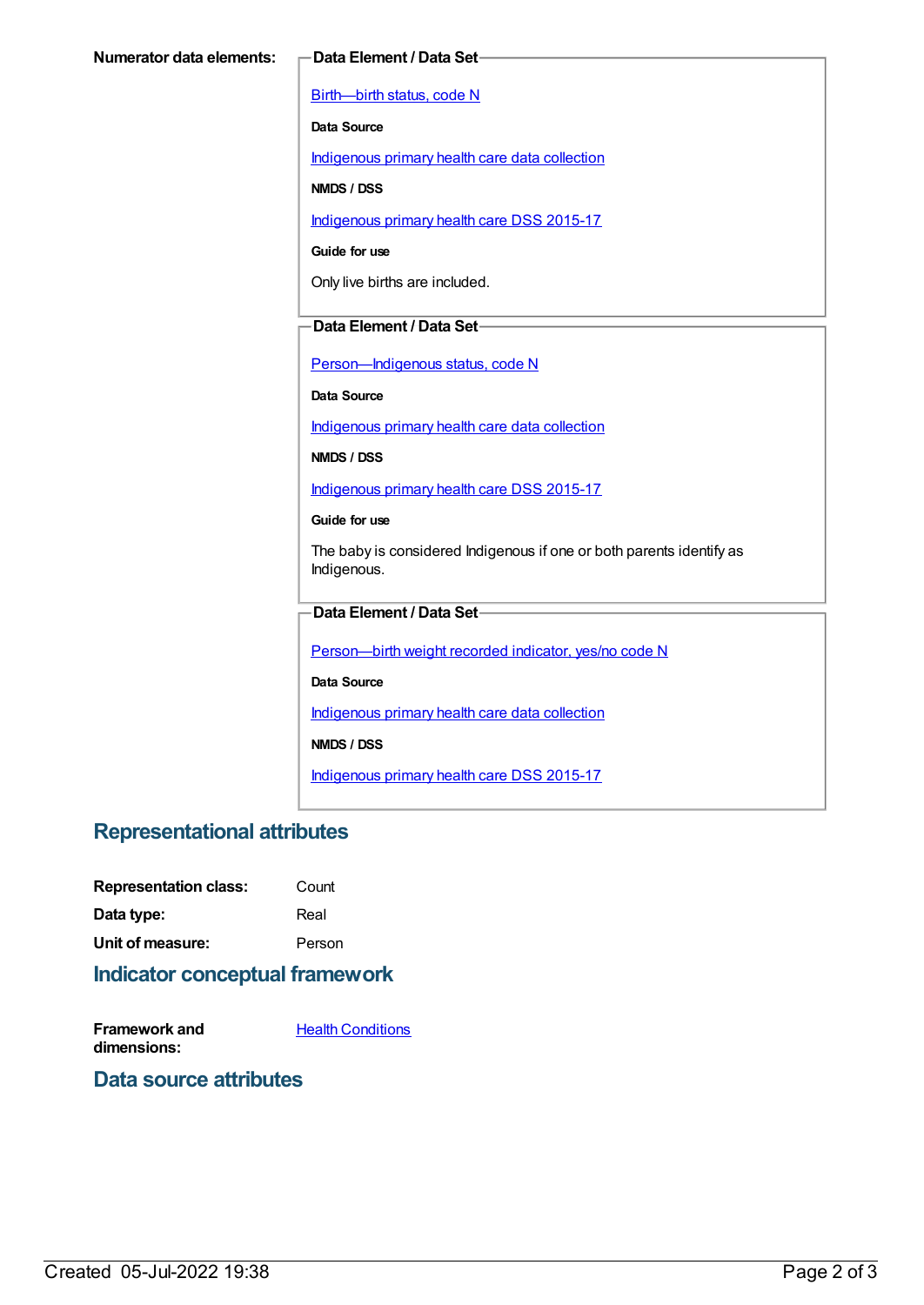[Birth—birth](https://meteor.aihw.gov.au/content/269949) status, code N

**Data Source**

[Indigenous](https://meteor.aihw.gov.au/content/430643) primary health care data collection

**NMDS / DSS**

[Indigenous](https://meteor.aihw.gov.au/content/585036) primary health care DSS 2015-17

**Guide for use**

Only live births are included.

#### **Data Element / Data Set**

Person-Indigenous status, code N

**Data Source**

[Indigenous](https://meteor.aihw.gov.au/content/430643) primary health care data collection

**NMDS / DSS**

[Indigenous](https://meteor.aihw.gov.au/content/585036) primary health care DSS 2015-17

**Guide for use**

The baby is considered Indigenous if one or both parents identify as Indigenous.

#### **Data Element / Data Set**

[Person—birth](https://meteor.aihw.gov.au/content/441701) weight recorded indicator, yes/no code N

**Data Source**

[Indigenous](https://meteor.aihw.gov.au/content/430643) primary health care data collection

**NMDS / DSS**

[Indigenous](https://meteor.aihw.gov.au/content/585036) primary health care DSS 2015-17

### **Representational attributes**

| <b>Representation class:</b> | Count  |
|------------------------------|--------|
| Data type:                   | Real   |
| Unit of measure:             | Person |

## **Indicator conceptual framework**

**Framework and dimensions:**

**Health [Conditions](https://meteor.aihw.gov.au/content/410650)** 

#### **Data source attributes**